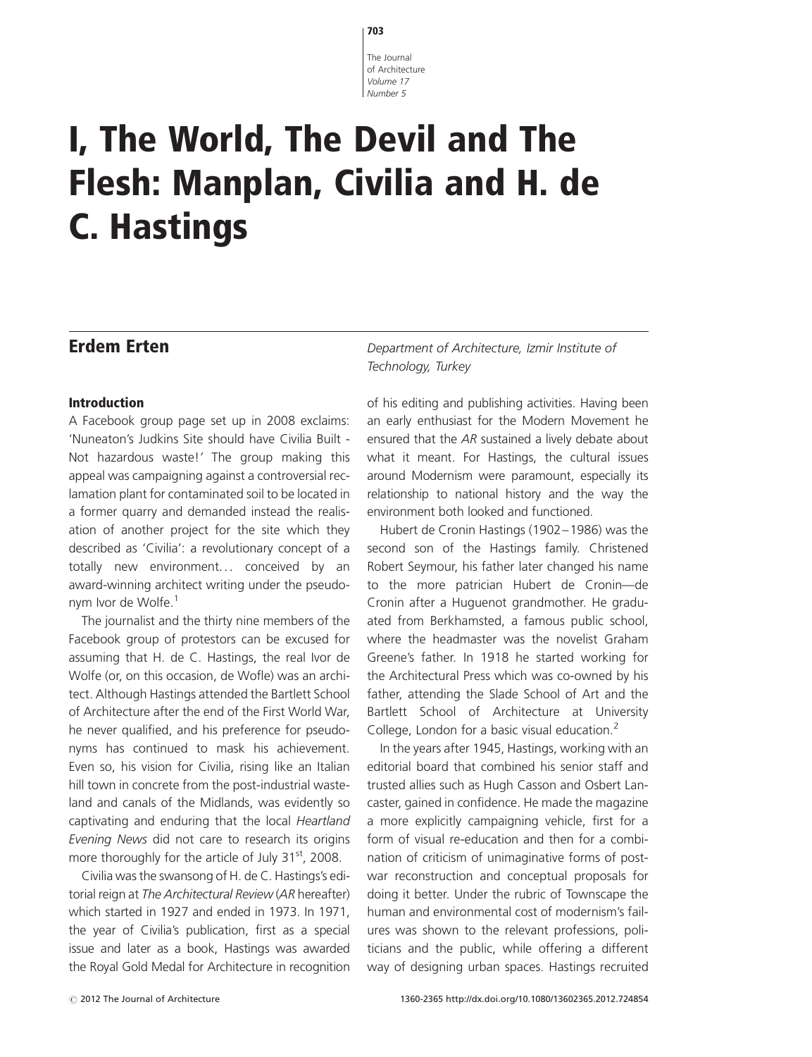703

# I, The World, The Devil and The Flesh: Manplan, Civilia and H. de C. Hastings

# Introduction

A Facebook group page set up in 2008 exclaims: 'Nuneaton's Judkins Site should have Civilia Built - Not hazardous waste!' The group making this appeal was campaigning against a controversial reclamation plant for contaminated soil to be located in a former quarry and demanded instead the realisation of another project for the site which they described as 'Civilia': a revolutionary concept of a totally new environment... conceived by an award-winning architect writing under the pseudonym Ivor de Wolfe.1

The journalist and the thirty nine members of the Facebook group of protestors can be excused for assuming that H. de C. Hastings, the real Ivor de Wolfe (or, on this occasion, de Wofle) was an architect. Although Hastings attended the Bartlett School of Architecture after the end of the First World War, he never qualified, and his preference for pseudonyms has continued to mask his achievement. Even so, his vision for Civilia, rising like an Italian hill town in concrete from the post-industrial wasteland and canals of the Midlands, was evidently so captivating and enduring that the local Heartland Evening News did not care to research its origins more thoroughly for the article of July 31<sup>st</sup>, 2008.

Civilia was the swansong of H. de C. Hastings's editorial reign at The Architectural Review (AR hereafter) which started in 1927 and ended in 1973. In 1971, the year of Civilia's publication, first as a special issue and later as a book, Hastings was awarded the Royal Gold Medal for Architecture in recognition

**Erdem Erten Exercise 2018** Department of Architecture, Izmir Institute of Technology, Turkey

> of his editing and publishing activities. Having been an early enthusiast for the Modern Movement he ensured that the AR sustained a lively debate about what it meant. For Hastings, the cultural issues around Modernism were paramount, especially its relationship to national history and the way the environment both looked and functioned.

> Hubert de Cronin Hastings (1902–1986) was the second son of the Hastings family. Christened Robert Seymour, his father later changed his name to the more patrician Hubert de Cronin—de Cronin after a Huguenot grandmother. He graduated from Berkhamsted, a famous public school, where the headmaster was the novelist Graham Greene's father. In 1918 he started working for the Architectural Press which was co-owned by his father, attending the Slade School of Art and the Bartlett School of Architecture at University College, London for a basic visual education.<sup>2</sup>

> In the years after 1945, Hastings, working with an editorial board that combined his senior staff and trusted allies such as Hugh Casson and Osbert Lancaster, gained in confidence. He made the magazine a more explicitly campaigning vehicle, first for a form of visual re-education and then for a combination of criticism of unimaginative forms of postwar reconstruction and conceptual proposals for doing it better. Under the rubric of Townscape the human and environmental cost of modernism's failures was shown to the relevant professions, politicians and the public, while offering a different way of designing urban spaces. Hastings recruited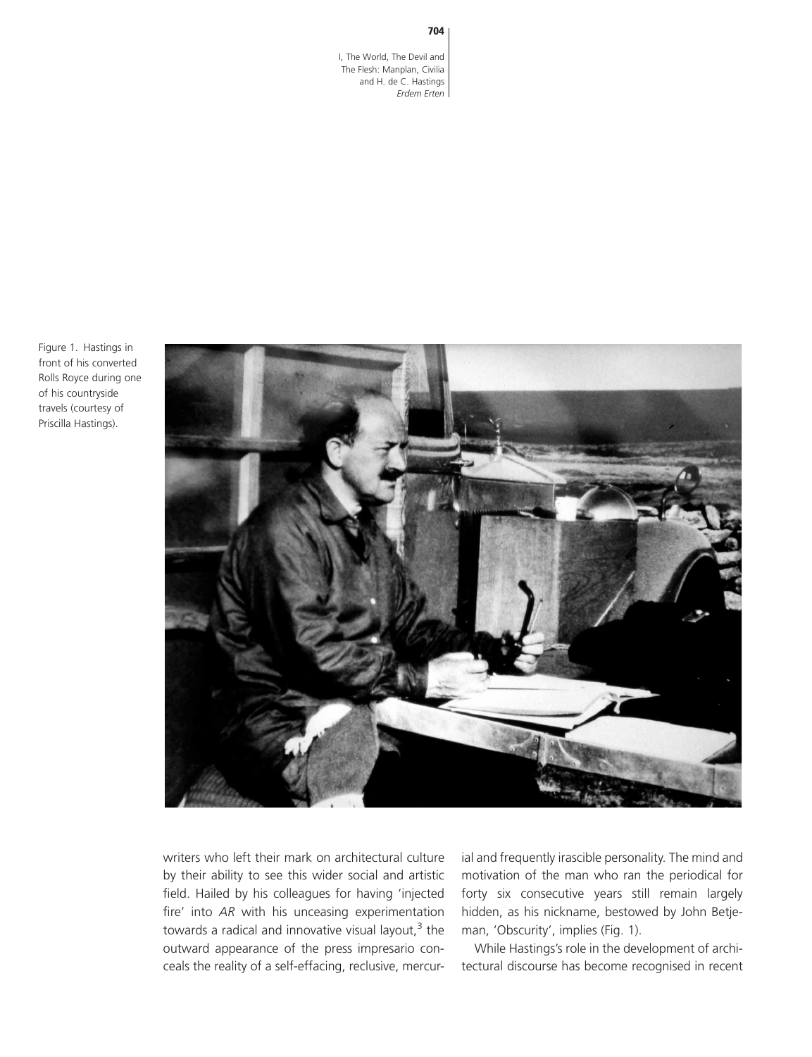Figure 1. Hastings in front of his converted Rolls Royce during one of his countryside travels (courtesy of Priscilla Hastings).



writers who left their mark on architectural culture by their ability to see this wider social and artistic field. Hailed by his colleagues for having 'injected fire' into AR with his unceasing experimentation towards a radical and innovative visual layout.<sup>3</sup> the outward appearance of the press impresario conceals the reality of a self-effacing, reclusive, mercur-

ial and frequently irascible personality. The mind and motivation of the man who ran the periodical for forty six consecutive years still remain largely hidden, as his nickname, bestowed by John Betjeman, 'Obscurity', implies (Fig. 1).

While Hastings's role in the development of architectural discourse has become recognised in recent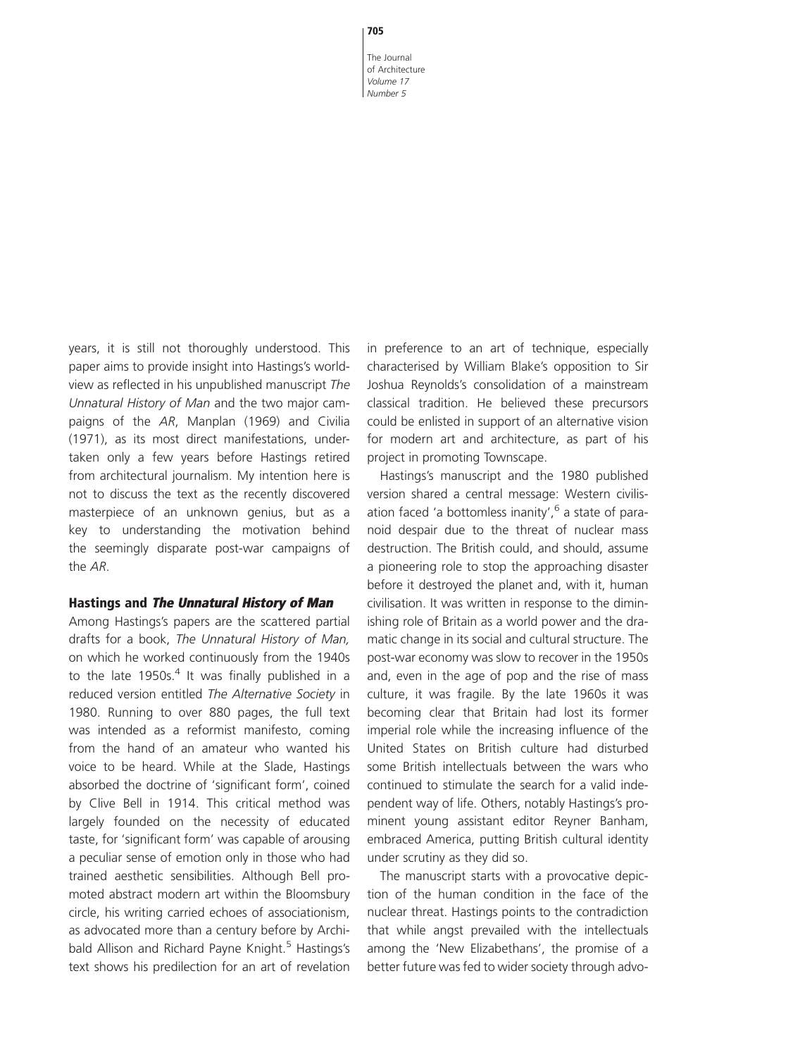years, it is still not thoroughly understood. This paper aims to provide insight into Hastings's worldview as reflected in his unpublished manuscript The Unnatural History of Man and the two major campaigns of the AR, Manplan (1969) and Civilia (1971), as its most direct manifestations, undertaken only a few years before Hastings retired from architectural journalism. My intention here is not to discuss the text as the recently discovered masterpiece of an unknown genius, but as a key to understanding the motivation behind the seemingly disparate post-war campaigns of the AR.

# Hastings and The Unnatural History of Man

Among Hastings's papers are the scattered partial drafts for a book, The Unnatural History of Man, on which he worked continuously from the 1940s to the late  $1950s<sup>4</sup>$  It was finally published in a reduced version entitled The Alternative Society in 1980. Running to over 880 pages, the full text was intended as a reformist manifesto, coming from the hand of an amateur who wanted his voice to be heard. While at the Slade, Hastings absorbed the doctrine of 'significant form', coined by Clive Bell in 1914. This critical method was largely founded on the necessity of educated taste, for 'significant form' was capable of arousing a peculiar sense of emotion only in those who had trained aesthetic sensibilities. Although Bell promoted abstract modern art within the Bloomsbury circle, his writing carried echoes of associationism, as advocated more than a century before by Archibald Allison and Richard Payne Knight.<sup>5</sup> Hastings's text shows his predilection for an art of revelation

in preference to an art of technique, especially characterised by William Blake's opposition to Sir Joshua Reynolds's consolidation of a mainstream classical tradition. He believed these precursors could be enlisted in support of an alternative vision for modern art and architecture, as part of his project in promoting Townscape.

Hastings's manuscript and the 1980 published version shared a central message: Western civilisation faced 'a bottomless inanity', $6$  a state of paranoid despair due to the threat of nuclear mass destruction. The British could, and should, assume a pioneering role to stop the approaching disaster before it destroyed the planet and, with it, human civilisation. It was written in response to the diminishing role of Britain as a world power and the dramatic change in its social and cultural structure. The post-war economy was slow to recover in the 1950s and, even in the age of pop and the rise of mass culture, it was fragile. By the late 1960s it was becoming clear that Britain had lost its former imperial role while the increasing influence of the United States on British culture had disturbed some British intellectuals between the wars who continued to stimulate the search for a valid independent way of life. Others, notably Hastings's prominent young assistant editor Reyner Banham, embraced America, putting British cultural identity under scrutiny as they did so.

The manuscript starts with a provocative depiction of the human condition in the face of the nuclear threat. Hastings points to the contradiction that while angst prevailed with the intellectuals among the 'New Elizabethans', the promise of a better future was fed to wider society through advo-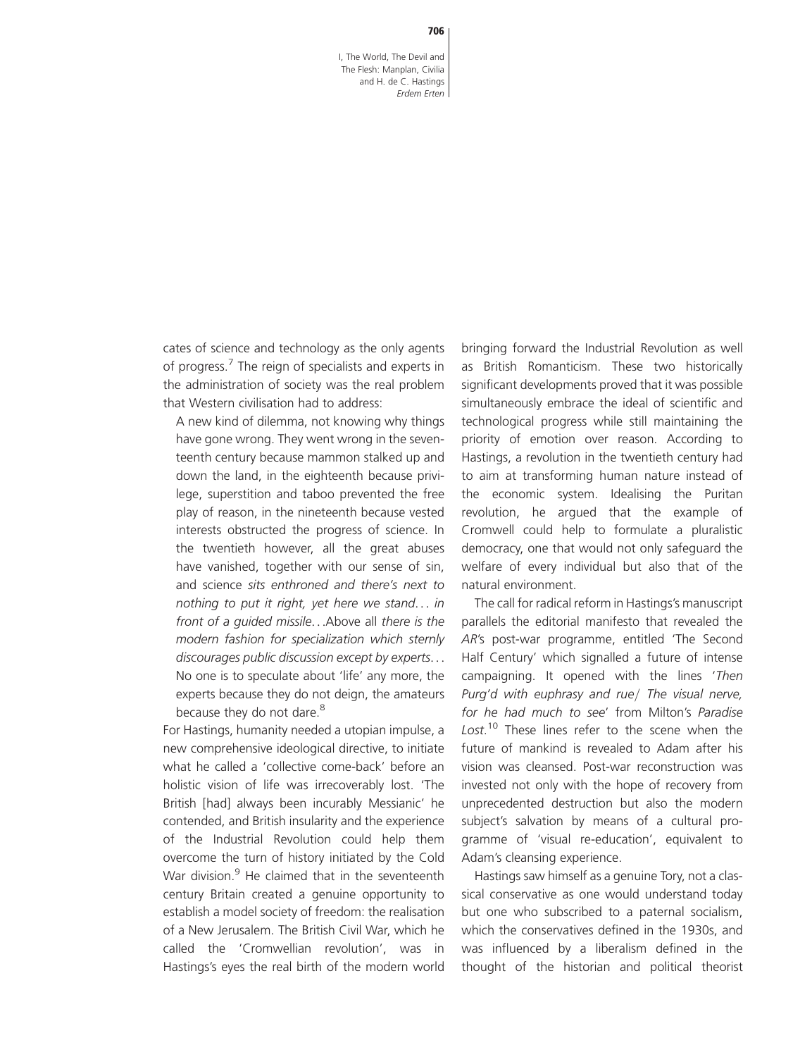cates of science and technology as the only agents of progress.<sup>7</sup> The reign of specialists and experts in the administration of society was the real problem that Western civilisation had to address:

A new kind of dilemma, not knowing why things have gone wrong. They went wrong in the seventeenth century because mammon stalked up and down the land, in the eighteenth because privilege, superstition and taboo prevented the free play of reason, in the nineteenth because vested interests obstructed the progress of science. In the twentieth however, all the great abuses have vanished, together with our sense of sin, and science sits enthroned and there's next to nothing to put it right, yet here we stand... in front of a guided missile...Above all there is the modern fashion for specialization which sternly discourages public discussion except by experts... No one is to speculate about 'life' any more, the experts because they do not deign, the amateurs because they do not dare.<sup>8</sup>

For Hastings, humanity needed a utopian impulse, a new comprehensive ideological directive, to initiate what he called a 'collective come-back' before an holistic vision of life was irrecoverably lost. 'The British [had] always been incurably Messianic' he contended, and British insularity and the experience of the Industrial Revolution could help them overcome the turn of history initiated by the Cold War division.<sup>9</sup> He claimed that in the seventeenth century Britain created a genuine opportunity to establish a model society of freedom: the realisation of a New Jerusalem. The British Civil War, which he called the 'Cromwellian revolution', was in Hastings's eyes the real birth of the modern world

bringing forward the Industrial Revolution as well as British Romanticism. These two historically significant developments proved that it was possible simultaneously embrace the ideal of scientific and technological progress while still maintaining the priority of emotion over reason. According to Hastings, a revolution in the twentieth century had to aim at transforming human nature instead of the economic system. Idealising the Puritan revolution, he argued that the example of Cromwell could help to formulate a pluralistic democracy, one that would not only safeguard the welfare of every individual but also that of the natural environment.

The call for radical reform in Hastings's manuscript parallels the editorial manifesto that revealed the AR's post-war programme, entitled 'The Second Half Century' which signalled a future of intense campaigning. It opened with the lines 'Then Purg'd with euphrasy and rue/ The visual nerve, for he had much to see' from Milton's Paradise Lost.<sup>10</sup> These lines refer to the scene when the future of mankind is revealed to Adam after his vision was cleansed. Post-war reconstruction was invested not only with the hope of recovery from unprecedented destruction but also the modern subject's salvation by means of a cultural programme of 'visual re-education', equivalent to Adam's cleansing experience.

Hastings saw himself as a genuine Tory, not a classical conservative as one would understand today but one who subscribed to a paternal socialism, which the conservatives defined in the 1930s, and was influenced by a liberalism defined in the thought of the historian and political theorist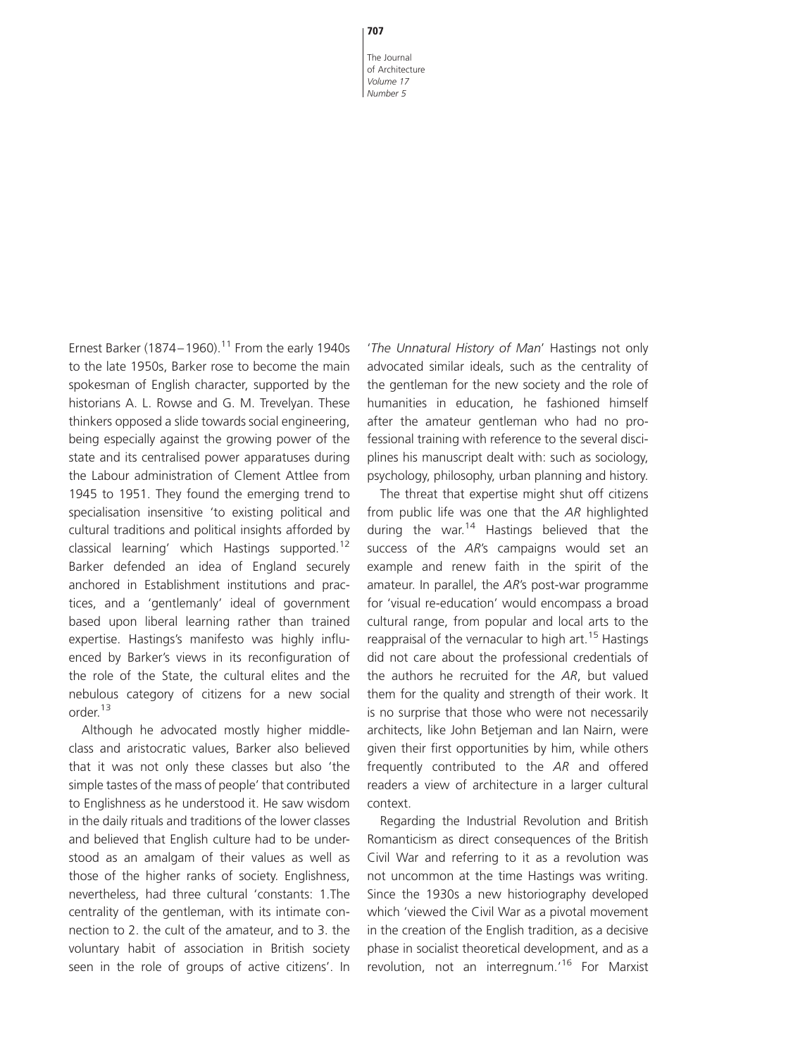Ernest Barker (1874–1960).<sup>11</sup> From the early 1940s to the late 1950s, Barker rose to become the main spokesman of English character, supported by the historians A. L. Rowse and G. M. Trevelyan. These thinkers opposed a slide towards social engineering, being especially against the growing power of the state and its centralised power apparatuses during the Labour administration of Clement Attlee from 1945 to 1951. They found the emerging trend to specialisation insensitive 'to existing political and cultural traditions and political insights afforded by classical learning' which Hastings supported.<sup>12</sup> Barker defended an idea of England securely anchored in Establishment institutions and practices, and a 'gentlemanly' ideal of government based upon liberal learning rather than trained expertise. Hastings's manifesto was highly influenced by Barker's views in its reconfiguration of the role of the State, the cultural elites and the nebulous category of citizens for a new social order.13

Although he advocated mostly higher middleclass and aristocratic values, Barker also believed that it was not only these classes but also 'the simple tastes of the mass of people' that contributed to Englishness as he understood it. He saw wisdom in the daily rituals and traditions of the lower classes and believed that English culture had to be understood as an amalgam of their values as well as those of the higher ranks of society. Englishness, nevertheless, had three cultural 'constants: 1.The centrality of the gentleman, with its intimate connection to 2. the cult of the amateur, and to 3. the voluntary habit of association in British society seen in the role of groups of active citizens'. In

'The Unnatural History of Man' Hastings not only advocated similar ideals, such as the centrality of the gentleman for the new society and the role of humanities in education, he fashioned himself after the amateur gentleman who had no professional training with reference to the several disciplines his manuscript dealt with: such as sociology, psychology, philosophy, urban planning and history.

The threat that expertise might shut off citizens from public life was one that the AR highlighted during the war.<sup>14</sup> Hastings believed that the success of the AR's campaigns would set an example and renew faith in the spirit of the amateur. In parallel, the AR's post-war programme for 'visual re-education' would encompass a broad cultural range, from popular and local arts to the reappraisal of the vernacular to high art.<sup>15</sup> Hastings did not care about the professional credentials of the authors he recruited for the AR, but valued them for the quality and strength of their work. It is no surprise that those who were not necessarily architects, like John Betjeman and Ian Nairn, were given their first opportunities by him, while others frequently contributed to the AR and offered readers a view of architecture in a larger cultural context.

Regarding the Industrial Revolution and British Romanticism as direct consequences of the British Civil War and referring to it as a revolution was not uncommon at the time Hastings was writing. Since the 1930s a new historiography developed which 'viewed the Civil War as a pivotal movement in the creation of the English tradition, as a decisive phase in socialist theoretical development, and as a revolution, not an interregnum.'<sup>16</sup> For Marxist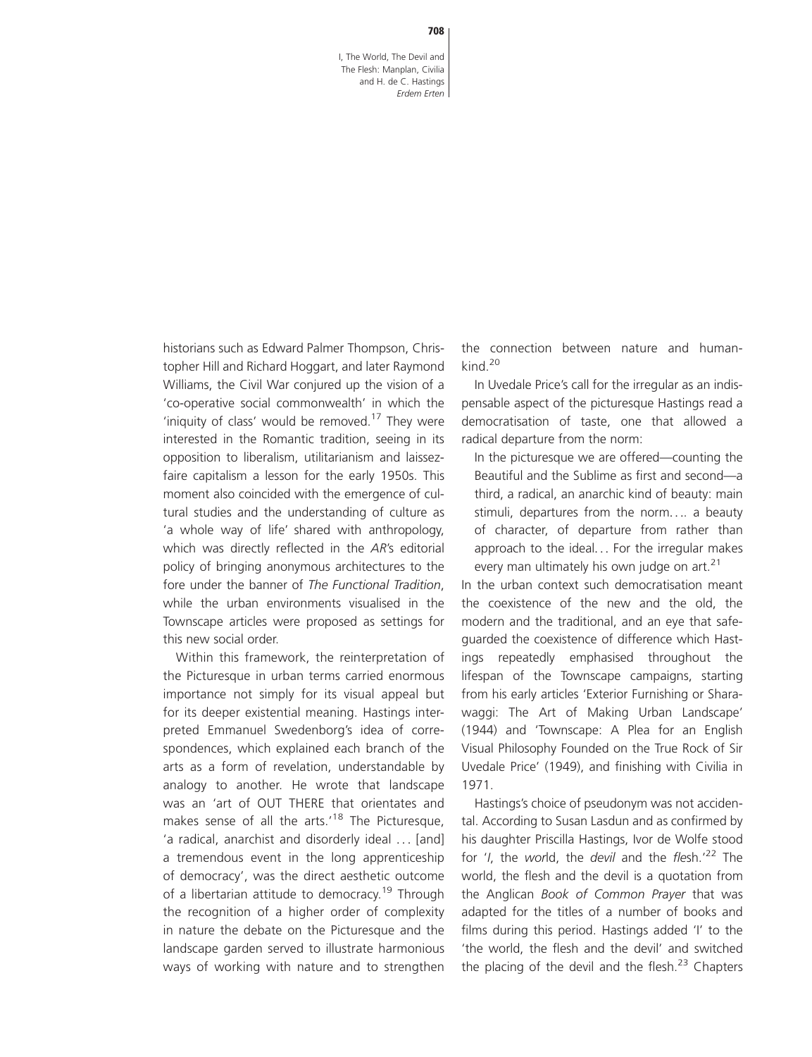historians such as Edward Palmer Thompson, Christopher Hill and Richard Hoggart, and later Raymond Williams, the Civil War conjured up the vision of a 'co-operative social commonwealth' in which the 'iniquity of class' would be removed.<sup>17</sup> They were interested in the Romantic tradition, seeing in its opposition to liberalism, utilitarianism and laissezfaire capitalism a lesson for the early 1950s. This moment also coincided with the emergence of cultural studies and the understanding of culture as 'a whole way of life' shared with anthropology, which was directly reflected in the AR's editorial policy of bringing anonymous architectures to the fore under the banner of The Functional Tradition, while the urban environments visualised in the Townscape articles were proposed as settings for this new social order.

Within this framework, the reinterpretation of the Picturesque in urban terms carried enormous importance not simply for its visual appeal but for its deeper existential meaning. Hastings interpreted Emmanuel Swedenborg's idea of correspondences, which explained each branch of the arts as a form of revelation, understandable by analogy to another. He wrote that landscape was an 'art of OUT THERE that orientates and makes sense of all the arts.<sup>'18</sup> The Picturesque, 'a radical, anarchist and disorderly ideal ... [and] a tremendous event in the long apprenticeship of democracy', was the direct aesthetic outcome of a libertarian attitude to democracy.<sup>19</sup> Through the recognition of a higher order of complexity in nature the debate on the Picturesque and the landscape garden served to illustrate harmonious ways of working with nature and to strengthen

the connection between nature and humankind<sup>20</sup>

In Uvedale Price's call for the irregular as an indispensable aspect of the picturesque Hastings read a democratisation of taste, one that allowed a radical departure from the norm:

In the picturesque we are offered—counting the Beautiful and the Sublime as first and second—a third, a radical, an anarchic kind of beauty: main stimuli, departures from the norm.... a beauty of character, of departure from rather than approach to the ideal... For the irregular makes every man ultimately his own judge on  $arct^{-21}$ 

In the urban context such democratisation meant the coexistence of the new and the old, the modern and the traditional, and an eye that safeguarded the coexistence of difference which Hastings repeatedly emphasised throughout the lifespan of the Townscape campaigns, starting from his early articles 'Exterior Furnishing or Sharawaggi: The Art of Making Urban Landscape' (1944) and 'Townscape: A Plea for an English Visual Philosophy Founded on the True Rock of Sir Uvedale Price' (1949), and finishing with Civilia in 1971.

Hastings's choice of pseudonym was not accidental. According to Susan Lasdun and as confirmed by his daughter Priscilla Hastings, Ivor de Wolfe stood for 'I, the world, the devil and the flesh.' $^{22}$  The world, the flesh and the devil is a quotation from the Anglican Book of Common Prayer that was adapted for the titles of a number of books and films during this period. Hastings added 'I' to the 'the world, the flesh and the devil' and switched the placing of the devil and the flesh. $23$  Chapters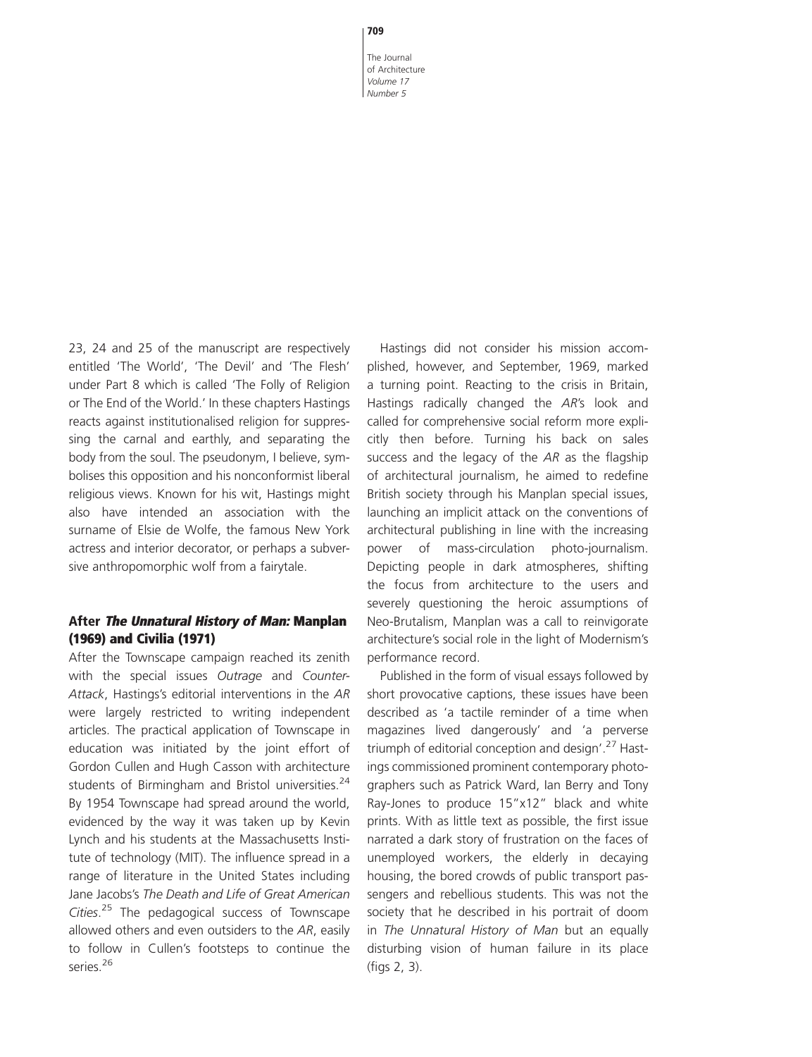23, 24 and 25 of the manuscript are respectively entitled 'The World', 'The Devil' and 'The Flesh' under Part 8 which is called 'The Folly of Religion or The End of the World.' In these chapters Hastings reacts against institutionalised religion for suppressing the carnal and earthly, and separating the body from the soul. The pseudonym, I believe, symbolises this opposition and his nonconformist liberal religious views. Known for his wit, Hastings might also have intended an association with the surname of Elsie de Wolfe, the famous New York actress and interior decorator, or perhaps a subversive anthropomorphic wolf from a fairytale.

# After The Unnatural History of Man: Manplan (1969) and Civilia (1971) (1969) and

After the Townscape campaign reached its zenith with the special issues Outrage and Counter-Attack, Hastings's editorial interventions in the AR were largely restricted to writing independent articles. The practical application of Townscape in education was initiated by the joint effort of Gordon Cullen and Hugh Casson with architecture students of Birmingham and Bristol universities.<sup>24</sup> By 1954 Townscape had spread around the world, evidenced by the way it was taken up by Kevin Lynch and his students at the Massachusetts Institute of technology (MIT). The influence spread in a range of literature in the United States including Jane Jacobs's The Death and Life of Great American Cities.<sup>25</sup> The pedagogical success of Townscape allowed others and even outsiders to the AR, easily to follow in Cullen's footsteps to continue the series.26

Hastings did not consider his mission accomplished, however, and September, 1969, marked a turning point. Reacting to the crisis in Britain, Hastings radically changed the AR's look and called for comprehensive social reform more explicitly then before. Turning his back on sales success and the legacy of the AR as the flagship of architectural journalism, he aimed to redefine British society through his Manplan special issues, launching an implicit attack on the conventions of architectural publishing in line with the increasing power of mass-circulation photo-journalism. Depicting people in dark atmospheres, shifting the focus from architecture to the users and severely questioning the heroic assumptions of Neo-Brutalism, Manplan was a call to reinvigorate architecture's social role in the light of Modernism's performance record.

Published in the form of visual essays followed by short provocative captions, these issues have been described as 'a tactile reminder of a time when magazines lived dangerously' and 'a perverse triumph of editorial conception and design'.<sup>27</sup> Hastings commissioned prominent contemporary photographers such as Patrick Ward, Ian Berry and Tony Ray-Jones to produce 15"x12" black and white prints. With as little text as possible, the first issue narrated a dark story of frustration on the faces of unemployed workers, the elderly in decaying housing, the bored crowds of public transport passengers and rebellious students. This was not the society that he described in his portrait of doom in The Unnatural History of Man but an equally disturbing vision of human failure in its place (figs 2, 3).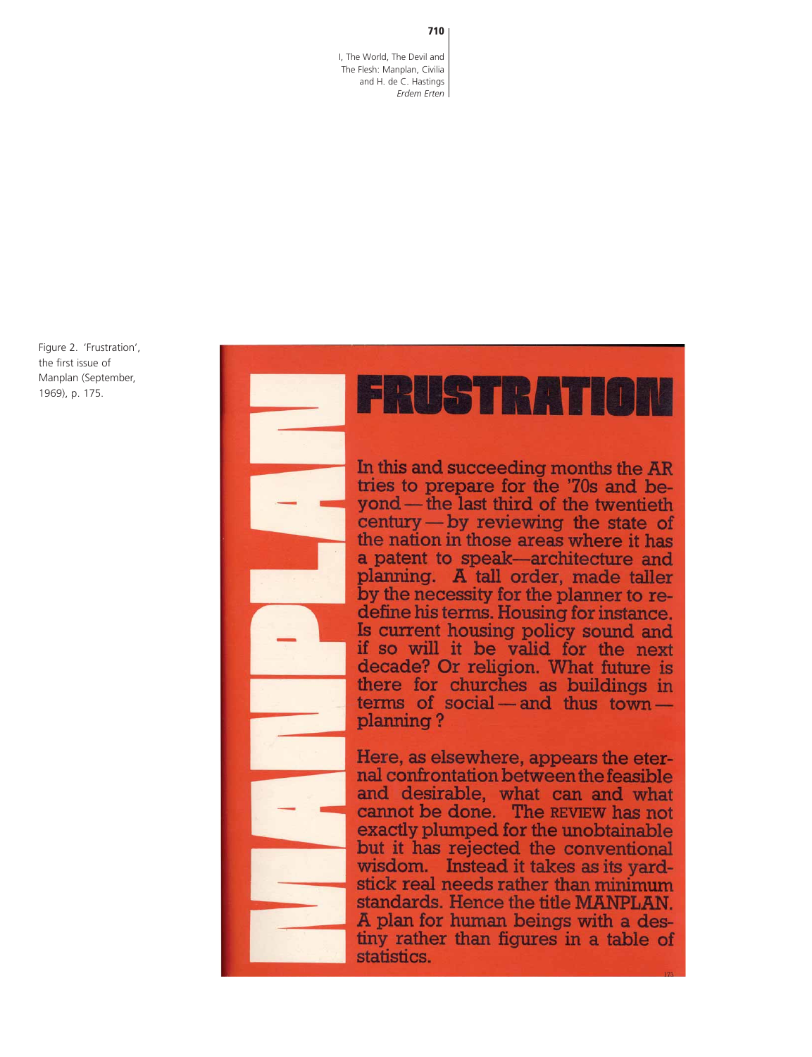Figure 2. 'Frustration', the first issue of Manplan (September, 1969), p. 175.





In this and succeeding months the AR tries to prepare for the '70s and beyond — the last third of the twentieth  $century - by reviewing the state of$ the nation in those areas where it has a patent to speak—architecture and planning. A tall order, made taller by the necessity for the planner to redefine his terms. Housing for instance. Is current housing policy sound and if so will it be valid for the next decade? Or religion. What future is there for churches as buildings in terms of social-and thus townplanning?

Here, as elsewhere, appears the eternal confrontation between the feasible and desirable, what can and what cannot be done. The REVIEW has not exactly plumped for the unobtainable but it has rejected the conventional wisdom. Instead it takes as its yardstick real needs rather than minimum standards. Hence the title MANPLAN. A plan for human beings with a destiny rather than figures in a table of statistics.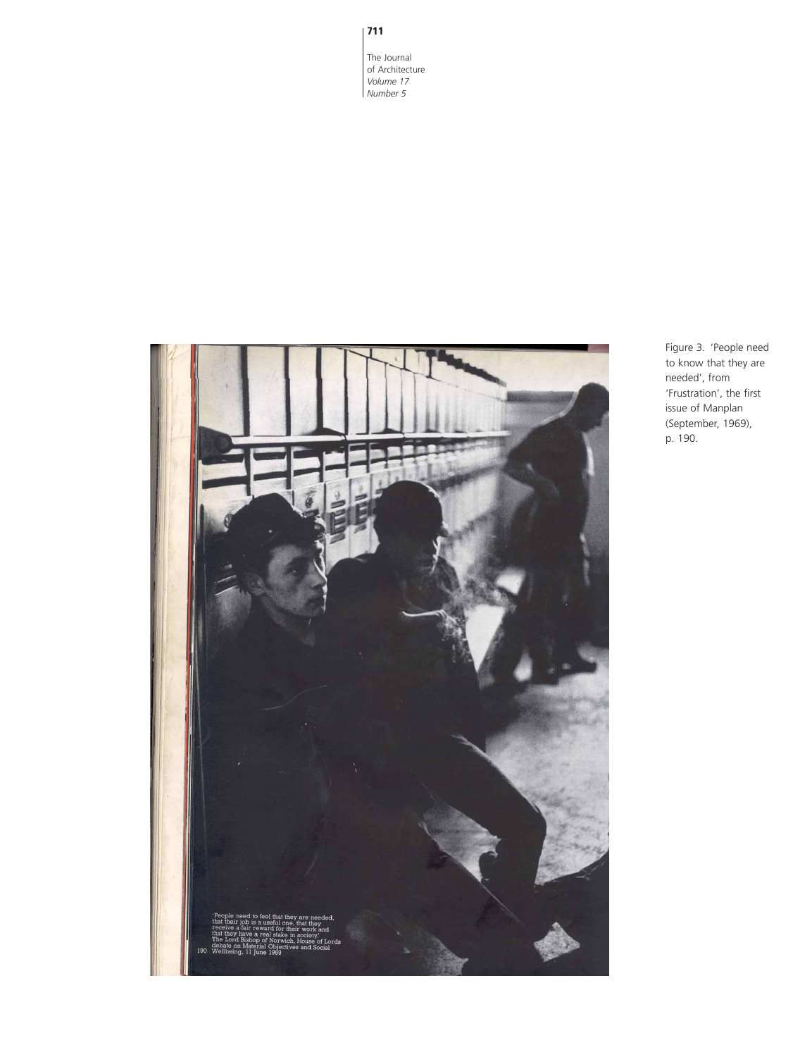

Figure 3. 'People need to know that they are needed', from 'Frustration', the first issue of Manplan (September, 1969), p. 190.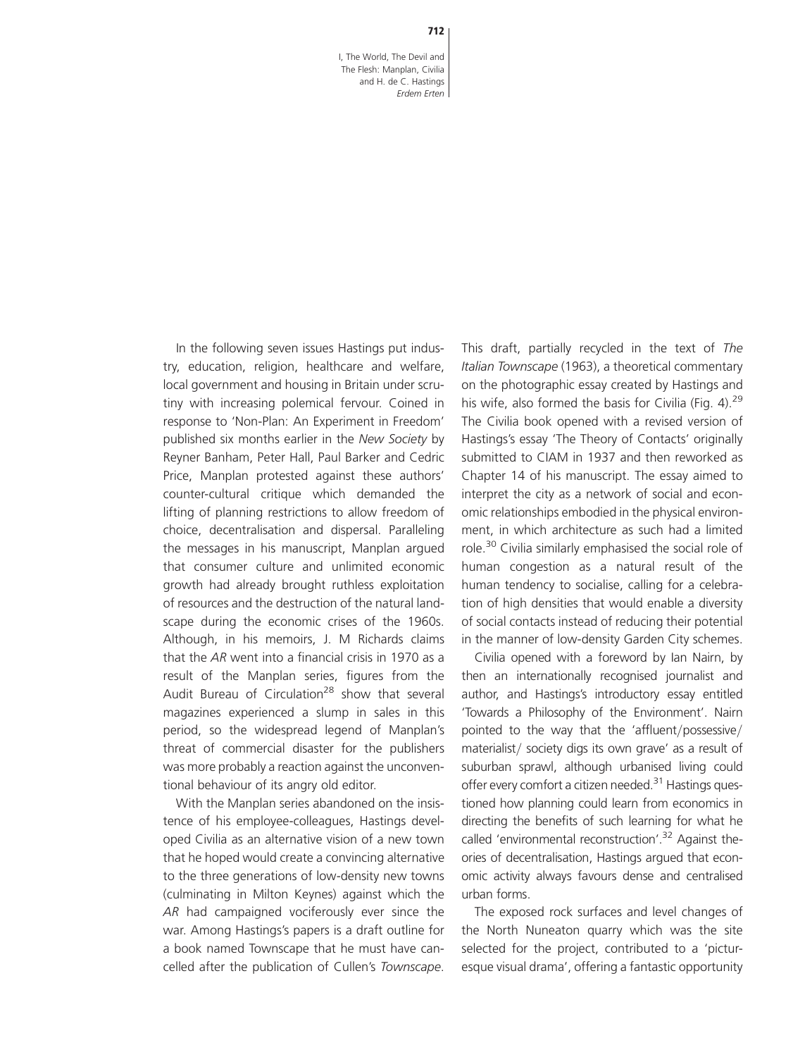In the following seven issues Hastings put industry, education, religion, healthcare and welfare, local government and housing in Britain under scrutiny with increasing polemical fervour. Coined in response to 'Non-Plan: An Experiment in Freedom' published six months earlier in the New Society by Reyner Banham, Peter Hall, Paul Barker and Cedric Price, Manplan protested against these authors' counter-cultural critique which demanded the lifting of planning restrictions to allow freedom of choice, decentralisation and dispersal. Paralleling the messages in his manuscript, Manplan argued that consumer culture and unlimited economic growth had already brought ruthless exploitation of resources and the destruction of the natural landscape during the economic crises of the 1960s. Although, in his memoirs, J. M Richards claims that the AR went into a financial crisis in 1970 as a result of the Manplan series, figures from the Audit Bureau of Circulation<sup>28</sup> show that several magazines experienced a slump in sales in this period, so the widespread legend of Manplan's threat of commercial disaster for the publishers was more probably a reaction against the unconventional behaviour of its angry old editor.

With the Manplan series abandoned on the insistence of his employee-colleagues, Hastings developed Civilia as an alternative vision of a new town that he hoped would create a convincing alternative to the three generations of low-density new towns (culminating in Milton Keynes) against which the AR had campaigned vociferously ever since the war. Among Hastings's papers is a draft outline for a book named Townscape that he must have cancelled after the publication of Cullen's Townscape.

This draft, partially recycled in the text of The Italian Townscape (1963), a theoretical commentary on the photographic essay created by Hastings and his wife, also formed the basis for Civilia (Fig. 4).<sup>29</sup> The Civilia book opened with a revised version of Hastings's essay 'The Theory of Contacts' originally submitted to CIAM in 1937 and then reworked as Chapter 14 of his manuscript. The essay aimed to interpret the city as a network of social and economic relationships embodied in the physical environment, in which architecture as such had a limited role.<sup>30</sup> Civilia similarly emphasised the social role of human congestion as a natural result of the human tendency to socialise, calling for a celebration of high densities that would enable a diversity of social contacts instead of reducing their potential in the manner of low-density Garden City schemes.

Civilia opened with a foreword by Ian Nairn, by then an internationally recognised journalist and author, and Hastings's introductory essay entitled 'Towards a Philosophy of the Environment'. Nairn pointed to the way that the 'affluent/possessive/ materialist/ society digs its own grave' as a result of suburban sprawl, although urbanised living could offer every comfort a citizen needed.<sup>31</sup> Hastings questioned how planning could learn from economics in directing the benefits of such learning for what he called 'environmental reconstruction'.<sup>32</sup> Against theories of decentralisation, Hastings argued that economic activity always favours dense and centralised urban forms.

The exposed rock surfaces and level changes of the North Nuneaton quarry which was the site selected for the project, contributed to a 'picturesque visual drama', offering a fantastic opportunity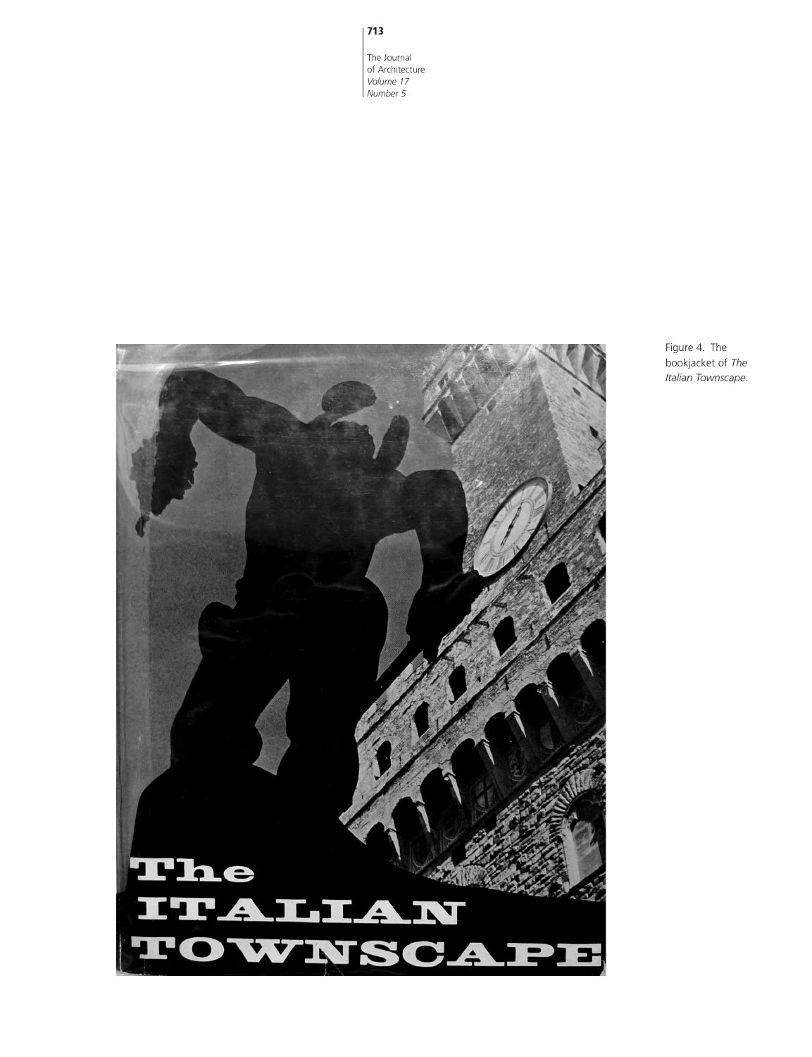

Figure 4. The bookjacket of The Italian Townscape.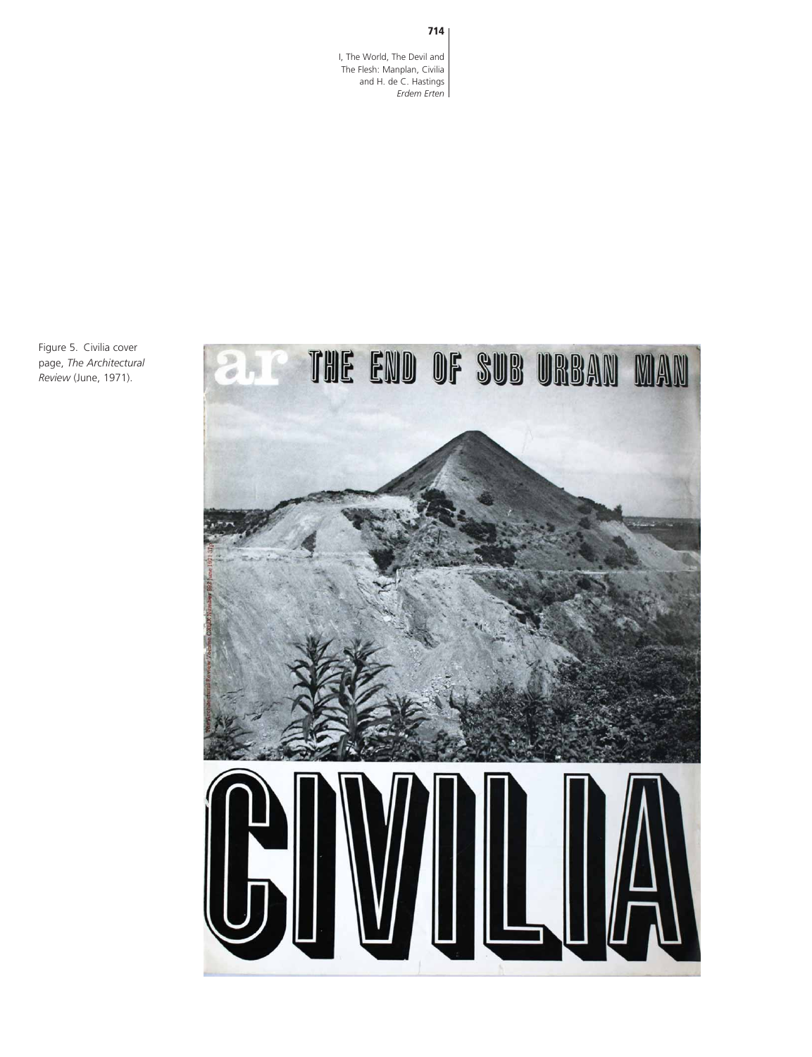

Figure 5. Civilia cover page, The Architectural Review (June, 1971).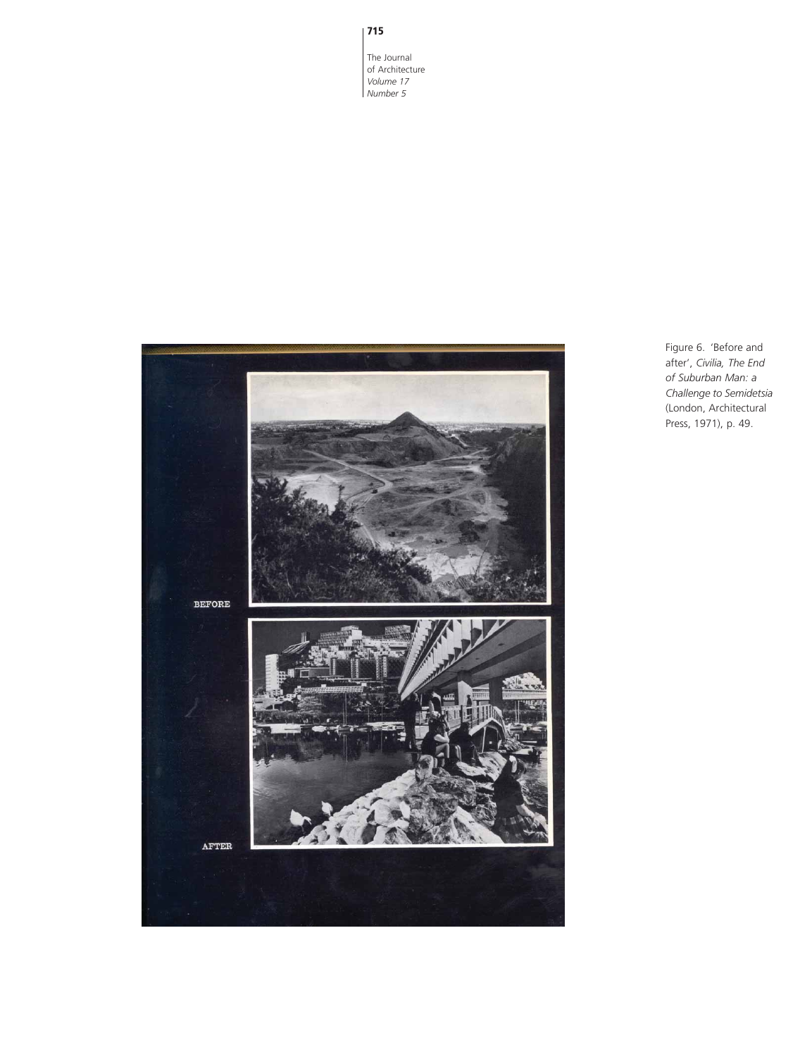

Figure 6. 'Before and after', Civilia, The End of Suburban Man: a Challenge to Semidetsia (London, Architectural Press, 1971), p. 49.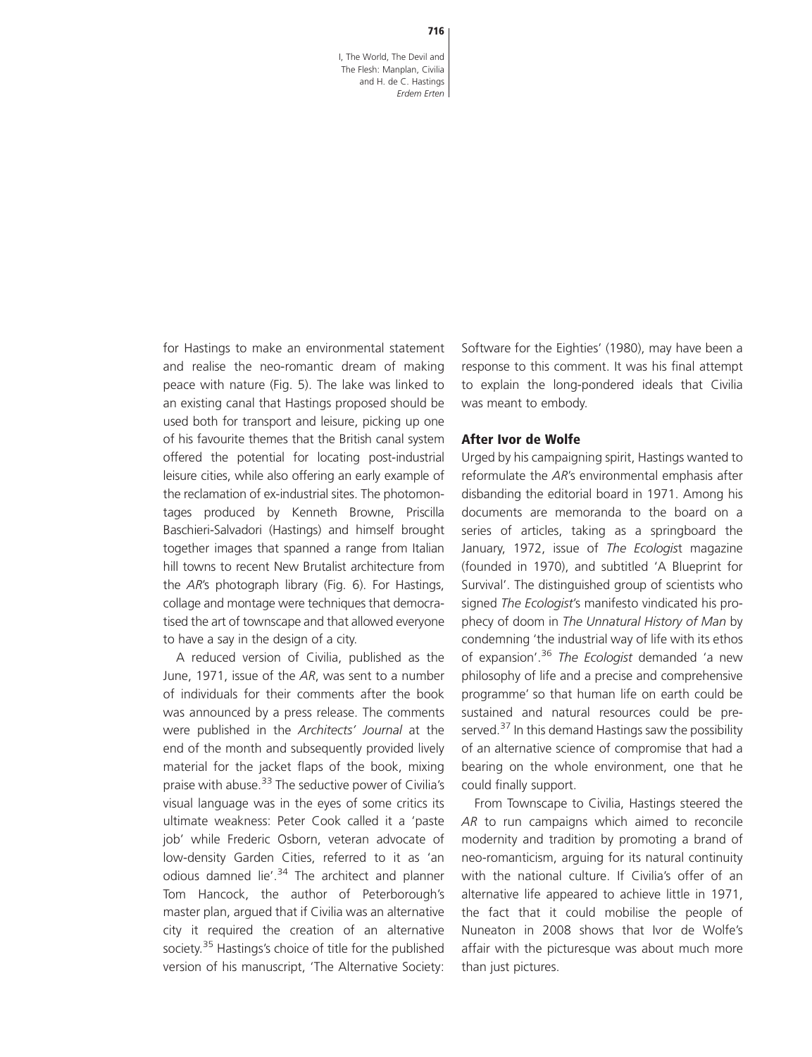for Hastings to make an environmental statement and realise the neo-romantic dream of making peace with nature (Fig. 5). The lake was linked to an existing canal that Hastings proposed should be used both for transport and leisure, picking up one of his favourite themes that the British canal system offered the potential for locating post-industrial leisure cities, while also offering an early example of the reclamation of ex-industrial sites. The photomontages produced by Kenneth Browne, Priscilla Baschieri-Salvadori (Hastings) and himself brought together images that spanned a range from Italian hill towns to recent New Brutalist architecture from the AR's photograph library (Fig. 6). For Hastings, collage and montage were techniques that democratised the art of townscape and that allowed everyone to have a say in the design of a city.

A reduced version of Civilia, published as the June, 1971, issue of the AR, was sent to a number of individuals for their comments after the book was announced by a press release. The comments were published in the Architects' Journal at the end of the month and subsequently provided lively material for the jacket flaps of the book, mixing praise with abuse.<sup>33</sup> The seductive power of Civilia's visual language was in the eyes of some critics its ultimate weakness: Peter Cook called it a 'paste job' while Frederic Osborn, veteran advocate of low-density Garden Cities, referred to it as 'an odious damned lie'.<sup>34</sup> The architect and planner Tom Hancock, the author of Peterborough's master plan, argued that if Civilia was an alternative city it required the creation of an alternative society.<sup>35</sup> Hastings's choice of title for the published version of his manuscript, 'The Alternative Society: Software for the Eighties' (1980), may have been a response to this comment. It was his final attempt to explain the long-pondered ideals that Civilia was meant to embody.

# After Ivor de Wolfe

Urged by his campaigning spirit, Hastings wanted to reformulate the AR's environmental emphasis after disbanding the editorial board in 1971. Among his documents are memoranda to the board on a series of articles, taking as a springboard the January, 1972, issue of The Ecologist magazine (founded in 1970), and subtitled 'A Blueprint for Survival'. The distinguished group of scientists who signed The Ecologist's manifesto vindicated his prophecy of doom in The Unnatural History of Man by condemning 'the industrial way of life with its ethos of expansion'.<sup>36</sup> The Ecologist demanded 'a new philosophy of life and a precise and comprehensive programme' so that human life on earth could be sustained and natural resources could be preserved. $37$  In this demand Hastings saw the possibility of an alternative science of compromise that had a bearing on the whole environment, one that he could finally support.

From Townscape to Civilia, Hastings steered the AR to run campaigns which aimed to reconcile modernity and tradition by promoting a brand of neo-romanticism, arguing for its natural continuity with the national culture. If Civilia's offer of an alternative life appeared to achieve little in 1971, the fact that it could mobilise the people of Nuneaton in 2008 shows that Ivor de Wolfe's affair with the picturesque was about much more than just pictures.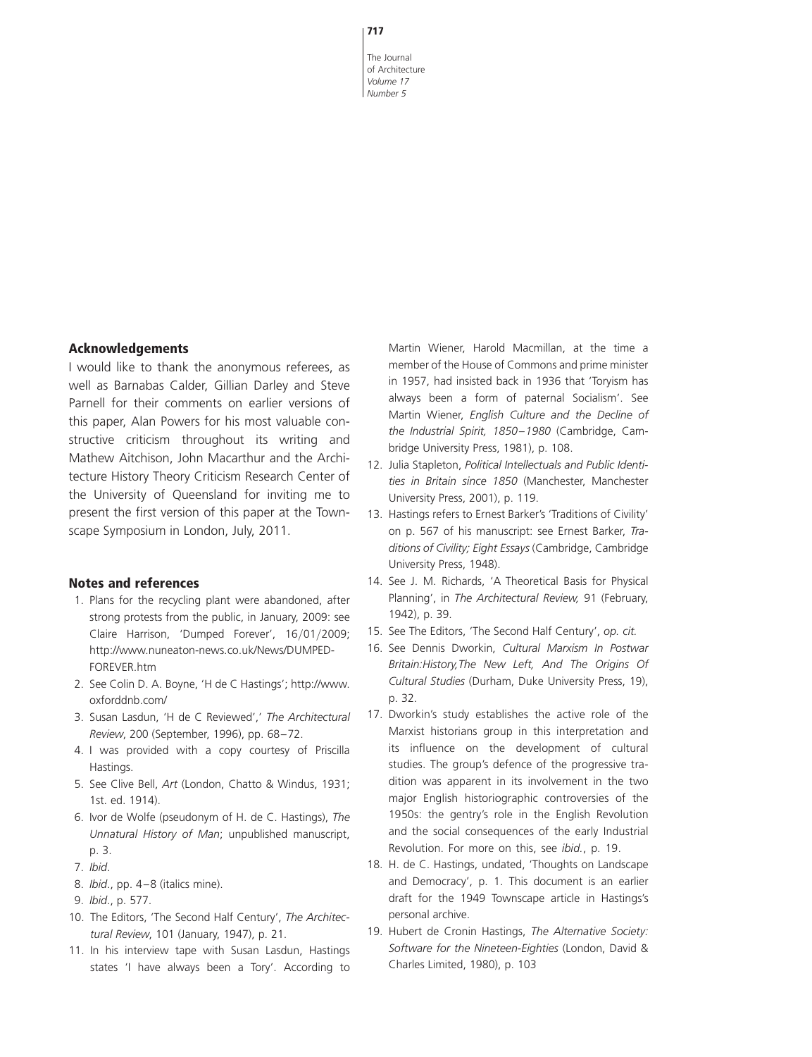717

# Acknowledgements

I would like to thank the anonymous referees, as well as Barnabas Calder, Gillian Darley and Steve Parnell for their comments on earlier versions of this paper, Alan Powers for his most valuable constructive criticism throughout its writing and Mathew Aitchison, John Macarthur and the Architecture History Theory Criticism Research Center of the University of Queensland for inviting me to present the first version of this paper at the Townscape Symposium in London, July, 2011.

# Notes and references

- 1. Plans for the recycling plant were abandoned, after strong protests from the public, in January, 2009: see Claire Harrison, 'Dumped Forever', 16/01/2009; [http://www.nuneaton-news.co.uk/News/DUMPED-](http://www.nuneaton-news.co.uk/News/DUMPED-FOREVER.htm)[FOREVER.htm](http://www.nuneaton-news.co.uk/News/DUMPED-FOREVER.htm)
- 2. See Colin D. A. Boyne, 'H de C Hastings'; [http://www.](http://www.oxforddnb.com/) [oxforddnb.com/](http://www.oxforddnb.com/)
- 3. Susan Lasdun, 'H de C Reviewed',' The Architectural Review, 200 (September, 1996), pp. 68–72.
- 4. I was provided with a copy courtesy of Priscilla Hastings.
- 5. See Clive Bell, Art (London, Chatto & Windus, 1931; 1st. ed. 1914).
- 6. Ivor de Wolfe (pseudonym of H. de C. Hastings), The Unnatural History of Man; unpublished manuscript, p. 3.
- 7. Ibid.
- 8. Ibid., pp. 4–8 (italics mine).
- 9. Ibid., p. 577.
- 10. The Editors, 'The Second Half Century', The Architectural Review, 101 (January, 1947), p. 21.
- 11. In his interview tape with Susan Lasdun, Hastings states 'I have always been a Tory'. According to

Martin Wiener, Harold Macmillan, at the time a member of the House of Commons and prime minister in 1957, had insisted back in 1936 that 'Toryism has always been a form of paternal Socialism'. See Martin Wiener, English Culture and the Decline of the Industrial Spirit, 1850–1980 (Cambridge, Cambridge University Press, 1981), p. 108.

- 12. Julia Stapleton, Political Intellectuals and Public Identities in Britain since 1850 (Manchester, Manchester University Press, 2001), p. 119.
- 13. Hastings refers to Ernest Barker's 'Traditions of Civility' on p. 567 of his manuscript: see Ernest Barker, Traditions of Civility; Eight Essays (Cambridge, Cambridge University Press, 1948).
- 14. See J. M. Richards, 'A Theoretical Basis for Physical Planning', in The Architectural Review, 91 (February, 1942), p. 39.
- 15. See The Editors, 'The Second Half Century', op. cit.
- 16. See Dennis Dworkin, Cultural Marxism In Postwar Britain:History,The New Left, And The Origins Of Cultural Studies (Durham, Duke University Press, 19), p. 32.
- 17. Dworkin's study establishes the active role of the Marxist historians group in this interpretation and its influence on the development of cultural studies. The group's defence of the progressive tradition was apparent in its involvement in the two major English historiographic controversies of the 1950s: the gentry's role in the English Revolution and the social consequences of the early Industrial Revolution. For more on this, see *ibid.*, p. 19.
- 18. H. de C. Hastings, undated, 'Thoughts on Landscape and Democracy', p. 1. This document is an earlier draft for the 1949 Townscape article in Hastings's personal archive.
- 19. Hubert de Cronin Hastings, The Alternative Society: Software for the Nineteen-Eighties (London, David & Charles Limited, 1980), p. 103